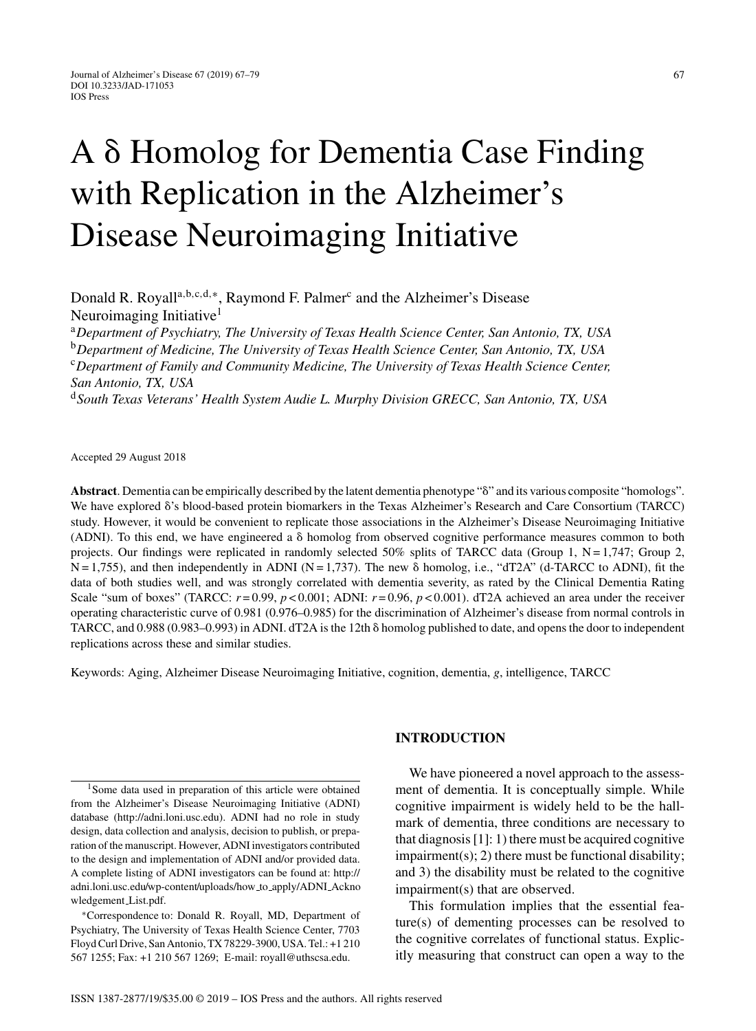# A  $\delta$  Homolog for Dementia Case Finding with Replication in the Alzheimer's Disease Neuroimaging Initiative

Donald R. Royall<sup>a,b,c,d,∗</sup>, Raymond F. Palmer<sup>c</sup> and the Alzheimer's Disease Neuroimaging Initiative<sup>1</sup>

<sup>a</sup>*Department of Psychiatry, The University of Texas Health Science Center, San Antonio, TX, USA* <sup>b</sup>*Department of Medicine, The University of Texas Health Science Center, San Antonio, TX, USA* <sup>c</sup>*Department of Family and Community Medicine, The University of Texas Health Science Center, San Antonio, TX, USA*

<sup>d</sup>*South Texas Veterans' Health System Audie L. Murphy Division GRECC, San Antonio, TX, USA*

Accepted 29 August 2018

Abstract. Dementia can be empirically described by the latent dementia phenotype " $\delta$ " and its various composite "homologs". We have explored  $\delta$ 's blood-based protein biomarkers in the Texas Alzheimer's Research and Care Consortium (TARCC) study. However, it would be convenient to replicate those associations in the Alzheimer's Disease Neuroimaging Initiative (ADNI). To this end, we have engineered a  $\delta$  homolog from observed cognitive performance measures common to both projects. Our findings were replicated in randomly selected 50% splits of TARCC data (Group 1,  $N = 1,747$ ; Group 2,  $N = 1,755$ ), and then independently in ADNI ( $N = 1,737$ ). The new  $\delta$  homolog, i.e., "dT2A" (d-TARCC to ADNI), fit the data of both studies well, and was strongly correlated with dementia severity, as rated by the Clinical Dementia Rating Scale "sum of boxes" (TARCC:  $r=0.99$ ,  $p < 0.001$ ; ADNI:  $r=0.96$ ,  $p < 0.001$ ). dT2A achieved an area under the receiver operating characteristic curve of 0.981 (0.976–0.985) for the discrimination of Alzheimer's disease from normal controls in TARCC, and 0.988 (0.983–0.993) in ADNI. dT2A is the 12th  $\delta$  homolog published to date, and opens the door to independent replications across these and similar studies.

Keywords: Aging, Alzheimer Disease Neuroimaging Initiative, cognition, dementia, *g*, intelligence, TARCC

## **INTRODUCTION**

We have pioneered a novel approach to the assessment of dementia. It is conceptually simple. While cognitive impairment is widely held to be the hallmark of dementia, three conditions are necessary to that diagnosis [1]: 1) there must be acquired cognitive  $impairment(s); 2)$  there must be functional disability; and 3) the disability must be related to the cognitive impairment(s) that are observed.

This formulation implies that the essential feature(s) of dementing processes can be resolved to the cognitive correlates of functional status. Explicitly measuring that construct can open a way to the

<sup>&</sup>lt;sup>1</sup>Some data used in preparation of this article were obtained from the Alzheimer's Disease Neuroimaging Initiative (ADNI) database ([http://adni.loni.usc.edu\)](http://adni.loni.usc.edu). ADNI had no role in study design, data collection and analysis, decision to publish, or preparation of the manuscript. However, ADNI investigators contributed to the design and implementation of ADNI and/or provided data. A complete listing of ADNI investigators can be found at: [http://](http://adni.loni.usc.edu/wp-content/uploads/how_to_apply/ADNI_Acknowledgement_List.pdf) [adni.loni.usc.edu/wp-content/uploads/how](http://adni.loni.usc.edu/wp-content/uploads/how_to_apply/ADNI_Acknowledgement_List.pdf) to apply/ADNI Ackno [wledgement](http://adni.loni.usc.edu/wp-content/uploads/how_to_apply/ADNI_Acknowledgement_List.pdf) List.pdf.

<sup>∗</sup>Correspondence to: Donald R. Royall, MD, Department of Psychiatry, The University of Texas Health Science Center, 7703 Floyd Curl Drive, San Antonio, TX 78229-3900, USA. Tel.: +1 210 567 1255; Fax: +1 210 567 1269; E-mail: [royall@uthscsa.edu](mailto:royall@uthscsa.edu).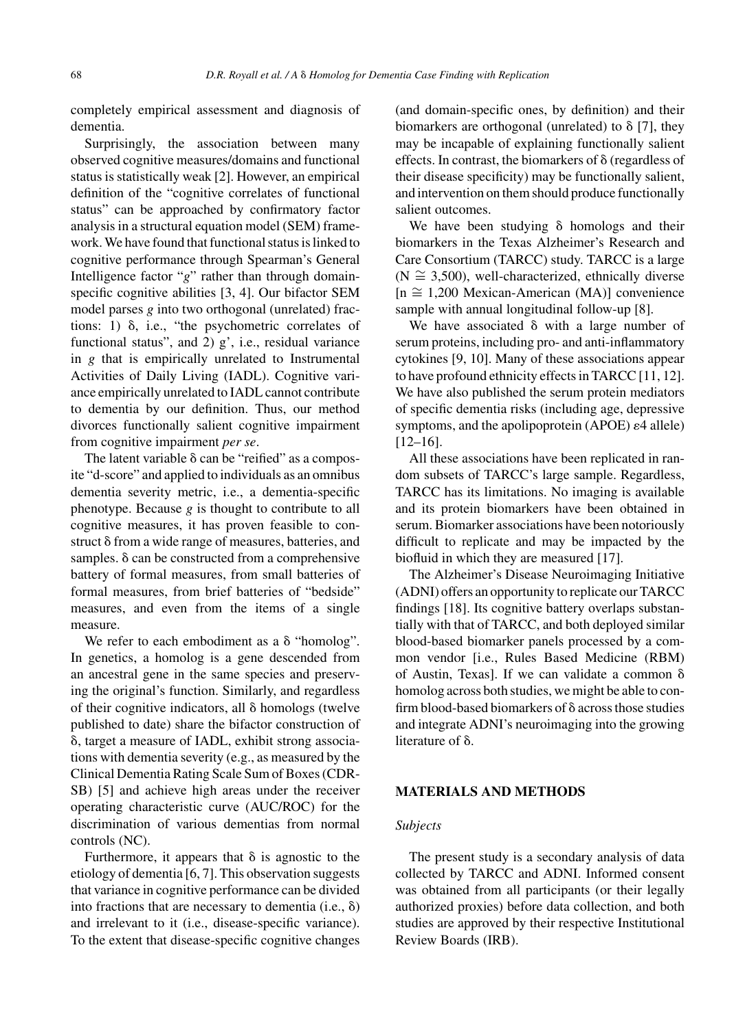completely empirical assessment and diagnosis of dementia.

Surprisingly, the association between many observed cognitive measures/domains and functional status is statistically weak [2]. However, an empirical definition of the "cognitive correlates of functional status" can be approached by confirmatory factor analysis in a structural equation model (SEM) framework. We have found that functional status is linked to cognitive performance through Spearman's General Intelligence factor "*g*" rather than through domainspecific cognitive abilities [3, 4]. Our bifactor SEM model parses *g* into two orthogonal (unrelated) fractions: 1)  $\delta$ , i.e., "the psychometric correlates of functional status", and  $2$ ) g', i.e., residual variance in *g* that is empirically unrelated to Instrumental Activities of Daily Living (IADL). Cognitive variance empirically unrelated to IADL cannot contribute to dementia by our definition. Thus, our method divorces functionally salient cognitive impairment from cognitive impairment *per se*.

The latent variable  $\delta$  can be "reified" as a composite "d-score" and applied to individuals as an omnibus dementia severity metric, i.e., a dementia-specific phenotype. Because *g* is thought to contribute to all cognitive measures, it has proven feasible to construct  $\delta$  from a wide range of measures, batteries, and samples.  $\delta$  can be constructed from a comprehensive battery of formal measures, from small batteries of formal measures, from brief batteries of "bedside" measures, and even from the items of a single measure.

We refer to each embodiment as a  $\delta$  "homolog". In genetics, a homolog is a gene descended from an ancestral gene in the same species and preserving the original's function. Similarly, and regardless of their cognitive indicators, all  $\delta$  homologs (twelve published to date) share the bifactor construction of -, target a measure of IADL, exhibit strong associations with dementia severity (e.g., as measured by the Clinical Dementia Rating Scale Sum of Boxes (CDR-SB) [5] and achieve high areas under the receiver operating characteristic curve (AUC/ROC) for the discrimination of various dementias from normal controls (NC).

Furthermore, it appears that  $\delta$  is agnostic to the etiology of dementia [6, 7]. This observation suggests that variance in cognitive performance can be divided into fractions that are necessary to dementia (i.e.,  $\delta$ ) and irrelevant to it (i.e., disease-specific variance). To the extent that disease-specific cognitive changes

(and domain-specific ones, by definition) and their biomarkers are orthogonal (unrelated) to  $\delta$  [7], they may be incapable of explaining functionally salient effects. In contrast, the biomarkers of  $\delta$  (regardless of their disease specificity) may be functionally salient, and intervention on them should produce functionally salient outcomes.

We have been studying  $\delta$  homologs and their biomarkers in the Texas Alzheimer's Research and Care Consortium (TARCC) study. TARCC is a large  $(N \approx 3,500)$ , well-characterized, ethnically diverse [n ∼= 1,200 Mexican-American (MA)] convenience sample with annual longitudinal follow-up [8].

We have associated  $\delta$  with a large number of serum proteins, including pro- and anti-inflammatory cytokines [9, 10]. Many of these associations appear to have profound ethnicity effects in TARCC [11, 12]. We have also published the serum protein mediators of specific dementia risks (including age, depressive symptoms, and the apolipoprotein (APOE)  $\varepsilon$ 4 allele) [12–16].

All these associations have been replicated in random subsets of TARCC's large sample. Regardless, TARCC has its limitations. No imaging is available and its protein biomarkers have been obtained in serum. Biomarker associations have been notoriously difficult to replicate and may be impacted by the biofluid in which they are measured [17].

The Alzheimer's Disease Neuroimaging Initiative (ADNI) offers an opportunity to replicate our TARCC findings [18]. Its cognitive battery overlaps substantially with that of TARCC, and both deployed similar blood-based biomarker panels processed by a common vendor [i.e., Rules Based Medicine (RBM) of Austin, Texas]. If we can validate a common  $\delta$ homolog across both studies, we might be able to confirm blood-based biomarkers of  $\delta$  across those studies and integrate ADNI's neuroimaging into the growing literature of  $\delta$ .

### **MATERIALS AND METHODS**

## *Subjects*

The present study is a secondary analysis of data collected by TARCC and ADNI. Informed consent was obtained from all participants (or their legally authorized proxies) before data collection, and both studies are approved by their respective Institutional Review Boards (IRB).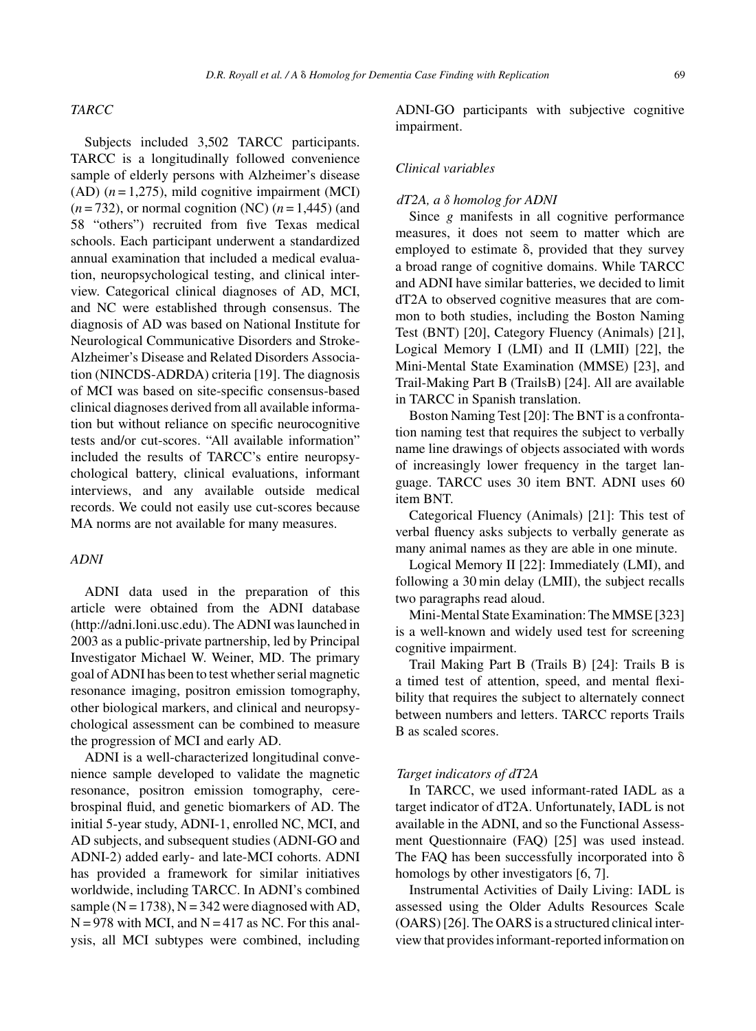#### **D.R.** Royall et al. / A  $\delta$  Homolog for Dementia Case Finding with Replication 69

## *TARCC*

Subjects included 3,502 TARCC participants. TARCC is a longitudinally followed convenience sample of elderly persons with Alzheimer's disease  $(AD)$  ( $n = 1,275$ ), mild cognitive impairment (MCI)  $(n=732)$ , or normal cognition (NC)  $(n=1,445)$  (and 58 "others") recruited from five Texas medical schools. Each participant underwent a standardized annual examination that included a medical evaluation, neuropsychological testing, and clinical interview. Categorical clinical diagnoses of AD, MCI, and NC were established through consensus. The diagnosis of AD was based on National Institute for Neurological Communicative Disorders and Stroke-Alzheimer's Disease and Related Disorders Association (NINCDS-ADRDA) criteria [19]. The diagnosis of MCI was based on site-specific consensus-based clinical diagnoses derived from all available information but without reliance on specific neurocognitive tests and/or cut-scores. "All available information" included the results of TARCC's entire neuropsychological battery, clinical evaluations, informant interviews, and any available outside medical records. We could not easily use cut-scores because MA norms are not available for many measures.

## *ADNI*

ADNI data used in the preparation of this article were obtained from the ADNI database [\(http://adni.loni.usc.edu\)](http://adni.loni.usc.edu). The ADNI was launched in 2003 as a public-private partnership, led by Principal Investigator Michael W. Weiner, MD. The primary goal of ADNI has been to test whether serial magnetic resonance imaging, positron emission tomography, other biological markers, and clinical and neuropsychological assessment can be combined to measure the progression of MCI and early AD.

ADNI is a well-characterized longitudinal convenience sample developed to validate the magnetic resonance, positron emission tomography, cerebrospinal fluid, and genetic biomarkers of AD. The initial 5-year study, ADNI-1, enrolled NC, MCI, and AD subjects, and subsequent studies (ADNI-GO and ADNI-2) added early- and late-MCI cohorts. ADNI has provided a framework for similar initiatives worldwide, including TARCC. In ADNI's combined sample ( $N = 1738$ ),  $N = 342$  were diagnosed with AD,  $N = 978$  with MCI, and  $N = 417$  as NC. For this analysis, all MCI subtypes were combined, including

ADNI-GO participants with subjective cognitive impairment.

## *Clinical variables*

## *dT2A, a* δ *homolog for ADNI*

Since *g* manifests in all cognitive performance measures, it does not seem to matter which are employed to estimate  $\delta$ , provided that they survey a broad range of cognitive domains. While TARCC and ADNI have similar batteries, we decided to limit dT2A to observed cognitive measures that are common to both studies, including the Boston Naming Test (BNT) [20], Category Fluency (Animals) [21], Logical Memory I (LMI) and II (LMII) [22], the Mini-Mental State Examination (MMSE) [23], and Trail-Making Part B (TrailsB) [24]. All are available in TARCC in Spanish translation.

Boston Naming Test [20]: The BNT is a confrontation naming test that requires the subject to verbally name line drawings of objects associated with words of increasingly lower frequency in the target language. TARCC uses 30 item BNT. ADNI uses 60 item BNT.

Categorical Fluency (Animals) [21]: This test of verbal fluency asks subjects to verbally generate as many animal names as they are able in one minute.

Logical Memory II [22]: Immediately (LMI), and following a 30 min delay (LMII), the subject recalls two paragraphs read aloud.

Mini-Mental State Examination: The MMSE [323] is a well-known and widely used test for screening cognitive impairment.

Trail Making Part B (Trails B) [24]: Trails B is a timed test of attention, speed, and mental flexibility that requires the subject to alternately connect between numbers and letters. TARCC reports Trails B as scaled scores.

### *Target indicators of dT2A*

In TARCC, we used informant-rated IADL as a target indicator of dT2A. Unfortunately, IADL is not available in the ADNI, and so the Functional Assessment Questionnaire (FAQ) [25] was used instead. The FAQ has been successfully incorporated into  $\delta$ homologs by other investigators [6, 7].

Instrumental Activities of Daily Living: IADL is assessed using the Older Adults Resources Scale (OARS) [26]. The OARS is a structured clinical interview that provides informant-reported information on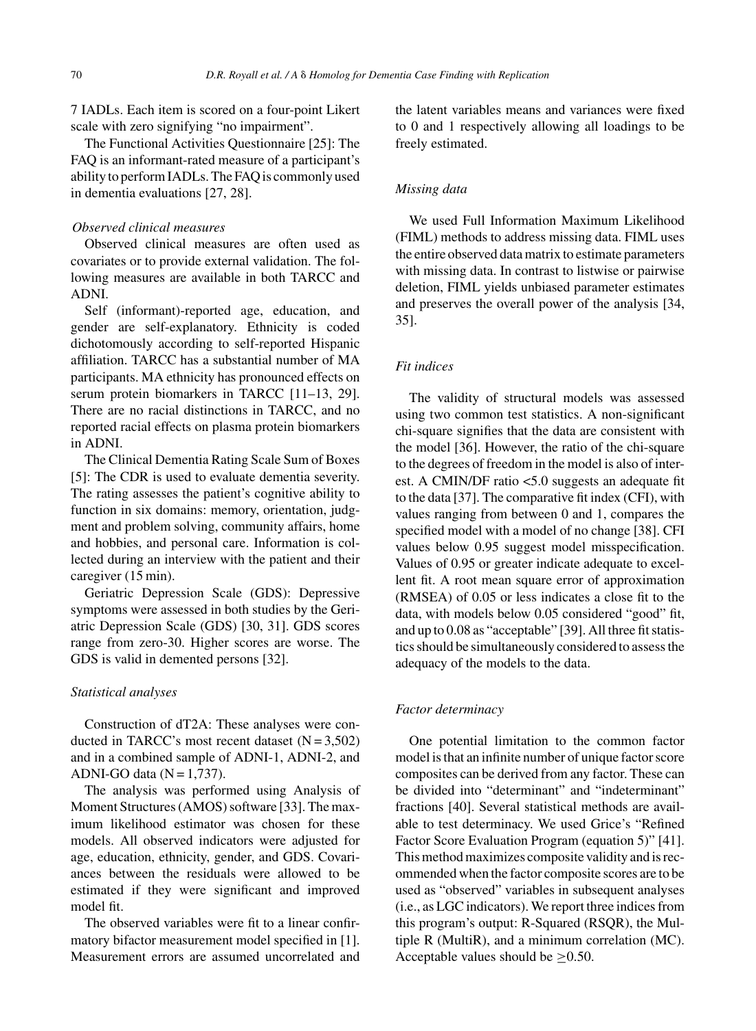7 IADLs. Each item is scored on a four-point Likert scale with zero signifying "no impairment".

The Functional Activities Questionnaire [25]: The FAQ is an informant-rated measure of a participant's ability to perform IADLs. The FAQ is commonly used in dementia evaluations [27, 28].

## *Observed clinical measures*

Observed clinical measures are often used as covariates or to provide external validation. The following measures are available in both TARCC and ADNI.

Self (informant)-reported age, education, and gender are self-explanatory. Ethnicity is coded dichotomously according to self-reported Hispanic affiliation. TARCC has a substantial number of MA participants. MA ethnicity has pronounced effects on serum protein biomarkers in TARCC [11–13, 29]. There are no racial distinctions in TARCC, and no reported racial effects on plasma protein biomarkers in ADNI.

The Clinical Dementia Rating Scale Sum of Boxes [5]: The CDR is used to evaluate dementia severity. The rating assesses the patient's cognitive ability to function in six domains: memory, orientation, judgment and problem solving, community affairs, home and hobbies, and personal care. Information is collected during an interview with the patient and their caregiver (15 min).

Geriatric Depression Scale (GDS): Depressive symptoms were assessed in both studies by the Geriatric Depression Scale (GDS) [30, 31]. GDS scores range from zero-30. Higher scores are worse. The GDS is valid in demented persons [32].

#### *Statistical analyses*

Construction of dT2A: These analyses were conducted in TARCC's most recent dataset  $(N = 3,502)$ and in a combined sample of ADNI-1, ADNI-2, and ADNI-GO data  $(N = 1,737)$ .

The analysis was performed using Analysis of Moment Structures (AMOS) software [33]. The maximum likelihood estimator was chosen for these models. All observed indicators were adjusted for age, education, ethnicity, gender, and GDS. Covariances between the residuals were allowed to be estimated if they were significant and improved model fit.

The observed variables were fit to a linear confirmatory bifactor measurement model specified in [1]. Measurement errors are assumed uncorrelated and the latent variables means and variances were fixed to 0 and 1 respectively allowing all loadings to be freely estimated.

## *Missing data*

We used Full Information Maximum Likelihood (FIML) methods to address missing data. FIML uses the entire observed data matrix to estimate parameters with missing data. In contrast to listwise or pairwise deletion, FIML yields unbiased parameter estimates and preserves the overall power of the analysis [34, 35].

## *Fit indices*

The validity of structural models was assessed using two common test statistics. A non-significant chi-square signifies that the data are consistent with the model [36]. However, the ratio of the chi-square to the degrees of freedom in the model is also of interest. A CMIN/DF ratio <5.0 suggests an adequate fit to the data [37]. The comparative fit index (CFI), with values ranging from between 0 and 1, compares the specified model with a model of no change [38]. CFI values below 0.95 suggest model misspecification. Values of 0.95 or greater indicate adequate to excellent fit. A root mean square error of approximation (RMSEA) of 0.05 or less indicates a close fit to the data, with models below 0.05 considered "good" fit, and up to 0.08 as "acceptable" [39]. All three fit statistics should be simultaneously considered to assess the adequacy of the models to the data.

#### *Factor determinacy*

One potential limitation to the common factor model is that an infinite number of unique factor score composites can be derived from any factor. These can be divided into "determinant" and "indeterminant" fractions [40]. Several statistical methods are available to test determinacy. We used Grice's "Refined Factor Score Evaluation Program (equation 5)" [41]. This method maximizes composite validity and is recommended when the factor composite scores are to be used as "observed" variables in subsequent analyses (i.e., as LGC indicators). We report three indices from this program's output: R-Squared (RSQR), the Multiple R (MultiR), and a minimum correlation (MC). Acceptable values should be ≥0.50.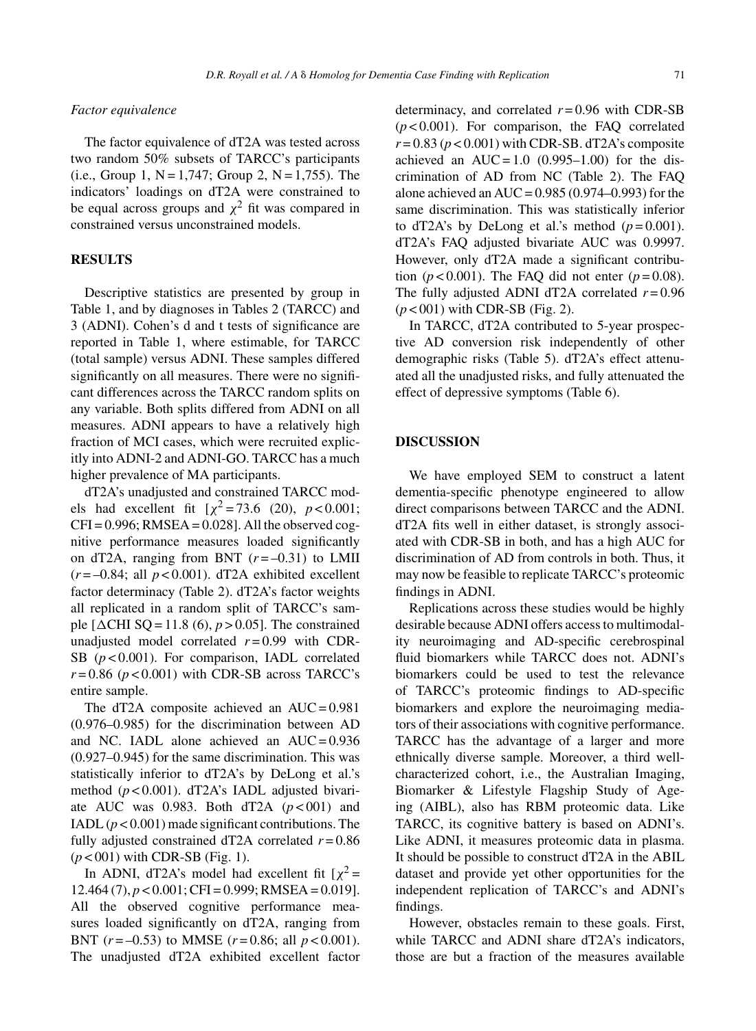## *Factor equivalence*

The factor equivalence of dT2A was tested across two random 50% subsets of TARCC's participants (i.e., Group 1,  $N = 1,747$ ; Group 2,  $N = 1,755$ ). The indicators' loadings on dT2A were constrained to be equal across groups and  $\chi^2$  fit was compared in constrained versus unconstrained models.

## **RESULTS**

Descriptive statistics are presented by group in Table 1, and by diagnoses in Tables 2 (TARCC) and 3 (ADNI). Cohen's d and t tests of significance are reported in Table 1, where estimable, for TARCC (total sample) versus ADNI. These samples differed significantly on all measures. There were no significant differences across the TARCC random splits on any variable. Both splits differed from ADNI on all measures. ADNI appears to have a relatively high fraction of MCI cases, which were recruited explicitly into ADNI-2 and ADNI-GO. TARCC has a much higher prevalence of MA participants.

dT2A's unadjusted and constrained TARCC models had excellent fit  $[\chi^2 = 73.6 \ (20), \ p < 0.001;$  $CFI = 0.996$ ; RMSEA = 0.028]. All the observed cognitive performance measures loaded significantly on dT2A, ranging from BNT  $(r = -0.31)$  to LMII  $(r = -0.84$ ; all  $p < 0.001$ ). dT2A exhibited excellent factor determinacy (Table 2). dT2A's factor weights all replicated in a random split of TARCC's sample  $[\Delta CHI SQ = 11.8 (6), p > 0.05]$ . The constrained unadjusted model correlated  $r = 0.99$  with CDR-SB (*p* < 0.001). For comparison, IADL correlated  $r = 0.86$  ( $p < 0.001$ ) with CDR-SB across TARCC's entire sample.

The dT2A composite achieved an  $AUC = 0.981$ (0.976–0.985) for the discrimination between AD and NC. IADL alone achieved an  $AUC = 0.936$ (0.927–0.945) for the same discrimination. This was statistically inferior to dT2A's by DeLong et al.'s method (*p* < 0.001). dT2A's IADL adjusted bivariate AUC was 0.983. Both dT2A  $(p < 001)$  and IADL  $(p < 0.001)$  made significant contributions. The fully adjusted constrained dT2A correlated  $r = 0.86$ (*p* < 001) with CDR-SB (Fig. 1).

In ADNI, dT2A's model had excellent fit  $[\chi^2 =$  $12.464 (7)$ ,  $p < 0.001$ ; CFI = 0.999; RMSEA = 0.019]. All the observed cognitive performance measures loaded significantly on dT2A, ranging from BNT  $(r = -0.53)$  to MMSE  $(r = 0.86;$  all  $p < 0.001$ ). The unadjusted dT2A exhibited excellent factor determinacy, and correlated  $r = 0.96$  with CDR-SB (*p* < 0.001). For comparison, the FAQ correlated  $r = 0.83$  ( $p < 0.001$ ) with CDR-SB. dT2A's composite achieved an  $AUC = 1.0$  (0.995–1.00) for the discrimination of AD from NC (Table 2). The FAQ alone achieved an AUC = 0.985 (0.974–0.993) for the same discrimination. This was statistically inferior to dT2A's by DeLong et al.'s method  $(p=0.001)$ . dT2A's FAQ adjusted bivariate AUC was 0.9997. However, only dT2A made a significant contribution  $(p<0.001)$ . The FAQ did not enter  $(p=0.08)$ . The fully adjusted ADNI dT2A correlated  $r = 0.96$ (*p* < 001) with CDR-SB (Fig. 2).

In TARCC, dT2A contributed to 5-year prospective AD conversion risk independently of other demographic risks (Table 5). dT2A's effect attenuated all the unadjusted risks, and fully attenuated the effect of depressive symptoms (Table 6).

## **DISCUSSION**

We have employed SEM to construct a latent dementia-specific phenotype engineered to allow direct comparisons between TARCC and the ADNI. dT2A fits well in either dataset, is strongly associated with CDR-SB in both, and has a high AUC for discrimination of AD from controls in both. Thus, it may now be feasible to replicate TARCC's proteomic findings in ADNI.

Replications across these studies would be highly desirable because ADNI offers access to multimodality neuroimaging and AD-specific cerebrospinal fluid biomarkers while TARCC does not. ADNI's biomarkers could be used to test the relevance of TARCC's proteomic findings to AD-specific biomarkers and explore the neuroimaging mediators of their associations with cognitive performance. TARCC has the advantage of a larger and more ethnically diverse sample. Moreover, a third wellcharacterized cohort, i.e., the Australian Imaging, Biomarker & Lifestyle Flagship Study of Ageing (AIBL), also has RBM proteomic data. Like TARCC, its cognitive battery is based on ADNI's. Like ADNI, it measures proteomic data in plasma. It should be possible to construct dT2A in the ABIL dataset and provide yet other opportunities for the independent replication of TARCC's and ADNI's findings.

However, obstacles remain to these goals. First, while TARCC and ADNI share dT2A's indicators, those are but a fraction of the measures available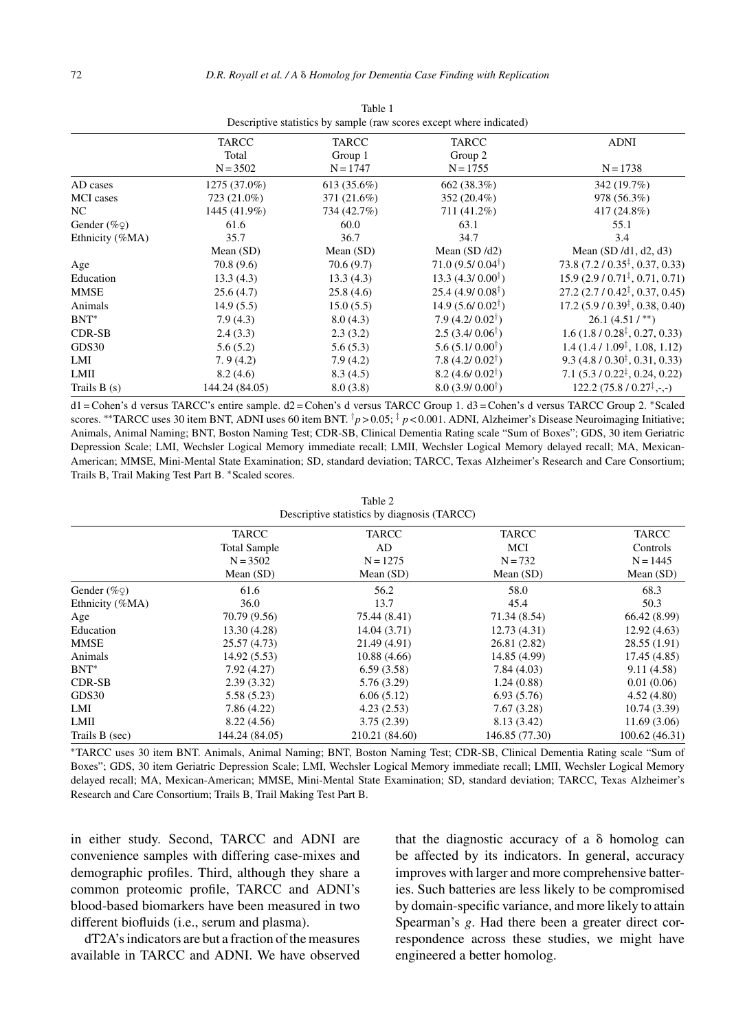|                       |                |             | <i>Bescriptive suitistics of sumpre</i> (fun secres except micre marculea) |                                            |
|-----------------------|----------------|-------------|----------------------------------------------------------------------------|--------------------------------------------|
|                       | TARCC          | TARCC       | TARCC                                                                      | <b>ADNI</b>                                |
|                       | Total          | Group 1     | Group 2                                                                    |                                            |
|                       | $N = 3502$     | $N = 1747$  | $N = 1755$                                                                 | $N = 1738$                                 |
| AD cases              | 1275 (37.0%)   | 613 (35.6%) | 662 (38.3%)                                                                | 342 (19.7%)                                |
| <b>MCI</b> cases      | 723 (21.0%)    | 371 (21.6%) | 352 (20.4%)                                                                | 978 (56.3%)                                |
| NC.                   | 1445 (41.9%)   | 734 (42.7%) | 711 (41.2%)                                                                | 417 (24.8%)                                |
| Gender $(\% \varphi)$ | 61.6           | 60.0        | 63.1                                                                       | 55.1                                       |
| Ethnicity (%MA)       | 35.7           | 36.7        | 34.7                                                                       | 3.4                                        |
|                       | Mean $(SD)$    | Mean $(SD)$ | Mean $(SD/d2)$                                                             | Mean $(SD/d1, d2, d3)$                     |
| Age                   | 70.8(9.6)      | 70.6(9.7)   | $71.0(9.5/0.04^{\dagger})$                                                 | $73.8 (7.2 / 0.35^{\ddagger}, 0.37, 0.33)$ |
| Education             | 13.3(4.3)      | 13.3(4.3)   | 13.3 $(4.3/0.00^{\dagger})$                                                | $15.9(2.9/0.71^{\ddagger}, 0.71, 0.71)$    |
| <b>MMSE</b>           | 25.6(4.7)      | 25.8(4.6)   | $25.4(4.9/0.08^{\dagger})$                                                 | $27.2(2.7/0.42^{\ddagger}, 0.37, 0.45)$    |
| Animals               | 14.9(5.5)      | 15.0(5.5)   | $14.9(5.6/0.02^{\dagger})$                                                 | $17.2 (5.9 / 0.39^{\ddagger}, 0.38, 0.40)$ |
| $BNT^*$               | 7.9(4.3)       | 8.0(4.3)    | $7.9(4.2/0.02^{\dagger})$                                                  | $26.1(4.51/**)$                            |
| CDR-SB                | 2.4(3.3)       | 2.3(3.2)    | $2.5(3.4/0.06^{\dagger})$                                                  | $1.6(1.8/0.28^{\ddagger}, 0.27, 0.33)$     |
| GDS30                 | 5.6(5.2)       | 5.6(5.3)    | $5.6(5.1/0.00^{\dagger})$                                                  | $1.4(1.4/1.09^{\ddagger}, 1.08, 1.12)$     |
| LMI                   | 7.9(4.2)       | 7.9(4.2)    | $7.8(4.2/0.02^{\dagger})$                                                  | $9.3(4.8/0.30^{\ddagger}, 0.31, 0.33)$     |
| LMII                  | 8.2(4.6)       | 8.3(4.5)    | $8.2 (4.6/0.02^{\dagger})$                                                 | $7.1(5.3/0.22^{\ddagger}, 0.24, 0.22)$     |
| Trails $B(s)$         | 144.24 (84.05) | 8.0(3.8)    | $8.0 (3.9 / 0.00^{\dagger})$                                               | $122.2(75.8/0.27^{\ddagger},\ldots)$       |

Table 1 Descriptive statistics by sample (raw scores except where indicated)

d1 = Cohen's d versus TARCC's entire sample. d2 = Cohen's d versus TARCC Group 1. d3 = Cohen's d versus TARCC Group 2. ∗Scaled scores. <sup>∗∗</sup>TARCC uses 30 item BNT, ADNI uses 60 item BNT. <sup>†</sup>*p* > 0.05; <sup>‡</sup> *p* < 0.001. ADNI, Alzheimer's Disease Neuroimaging Initiative; Animals, Animal Naming; BNT, Boston Naming Test; CDR-SB, Clinical Dementia Rating scale "Sum of Boxes"; GDS, 30 item Geriatric Depression Scale; LMI, Wechsler Logical Memory immediate recall; LMII, Wechsler Logical Memory delayed recall; MA, Mexican-American; MMSE, Mini-Mental State Examination; SD, standard deviation; TARCC, Texas Alzheimer's Research and Care Consortium; Trails B, Trail Making Test Part B. ∗Scaled scores.

|                                             | Table 2 |  |  |
|---------------------------------------------|---------|--|--|
| Descriptive statistics by diagnosis (TARCC) |         |  |  |

|                       | <b>TARCC</b>        | <b>TARCC</b>   | <b>TARCC</b>   | TARCC         |
|-----------------------|---------------------|----------------|----------------|---------------|
|                       | <b>Total Sample</b> | AD             | MCI            | Controls      |
|                       | $N = 3502$          | $N = 1275$     | $N = 732$      | $N = 1445$    |
|                       | Mean $(SD)$         | Mean $(SD)$    | Mean $(SD)$    | Mean $(SD)$   |
| Gender $(\% \varphi)$ | 61.6                | 56.2           | 58.0           | 68.3          |
| Ethnicity (%MA)       | 36.0                | 13.7           | 45.4           | 50.3          |
| Age                   | 70.79 (9.56)        | 75.44 (8.41)   | 71.34 (8.54)   | 66.42 (8.99)  |
| Education             | 13.30 (4.28)        | 14.04(3.71)    | 12.73(4.31)    | 12.92(4.63)   |
| MMSE                  | 25.57 (4.73)        | 21.49 (4.91)   | 26.81 (2.82)   | 28.55(1.91)   |
| Animals               | 14.92(5.53)         | 10.88(4.66)    | 14.85 (4.99)   | 17.45(4.85)   |
| $BNT^*$               | 7.92(4.27)          | 6.59(3.58)     | 7.84(4.03)     | 9.11(4.58)    |
| <b>CDR-SB</b>         | 2.39(3.32)          | 5.76(3.29)     | 1.24(0.88)     | 0.01(0.06)    |
| GDS30                 | 5.58(5.23)          | 6.06(5.12)     | 6.93(5.76)     | 4.52(4.80)    |
| LMI                   | 7.86(4.22)          | 4.23(2.53)     | 7.67(3.28)     | 10.74(3.39)   |
| LMII                  | 8.22(4.56)          | 3.75(2.39)     | 8.13 (3.42)    | 11.69(3.06)   |
| Trails B (sec)        | 144.24 (84.05)      | 210.21 (84.60) | 146.85 (77.30) | 100.62(46.31) |

∗TARCC uses 30 item BNT. Animals, Animal Naming; BNT, Boston Naming Test; CDR-SB, Clinical Dementia Rating scale "Sum of Boxes"; GDS, 30 item Geriatric Depression Scale; LMI, Wechsler Logical Memory immediate recall; LMII, Wechsler Logical Memory delayed recall; MA, Mexican-American; MMSE, Mini-Mental State Examination; SD, standard deviation; TARCC, Texas Alzheimer's Research and Care Consortium; Trails B, Trail Making Test Part B.

in either study. Second, TARCC and ADNI are convenience samples with differing case-mixes and demographic profiles. Third, although they share a common proteomic profile, TARCC and ADNI's blood-based biomarkers have been measured in two different biofluids (i.e., serum and plasma).

dT2A's indicators are but a fraction of the measures available in TARCC and ADNI. We have observed that the diagnostic accuracy of a  $\delta$  homolog can be affected by its indicators. In general, accuracy improves with larger and more comprehensive batteries. Such batteries are less likely to be compromised by domain-specific variance, and more likely to attain Spearman's *g*. Had there been a greater direct correspondence across these studies, we might have engineered a better homolog.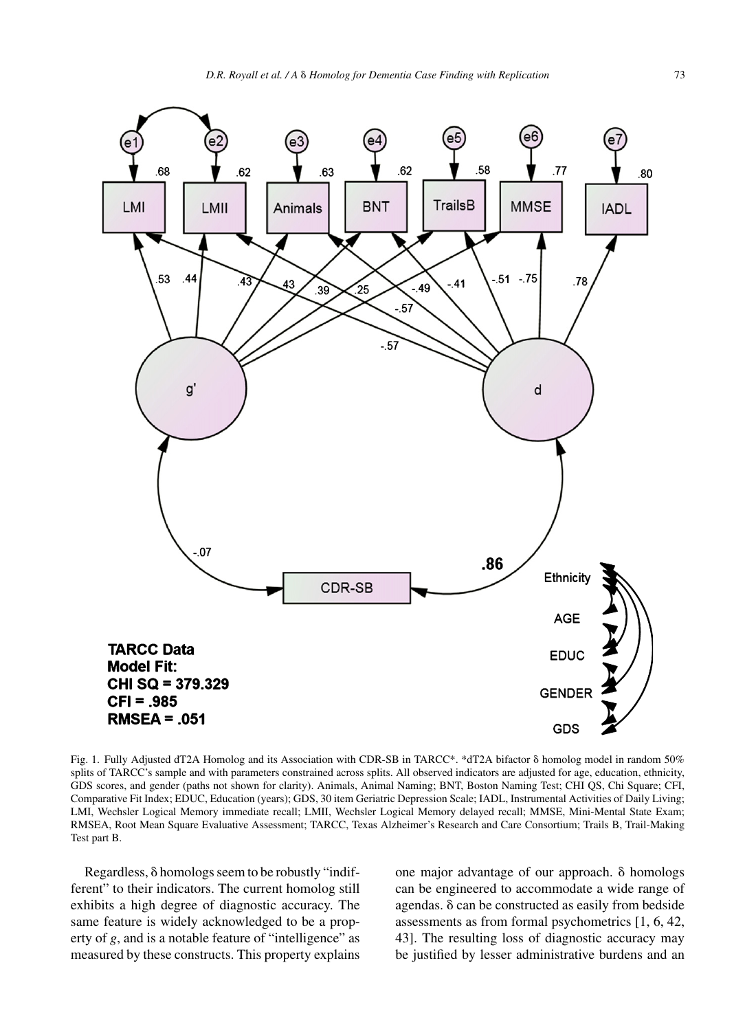

Fig. 1. Fully Adjusted dT2A Homolog and its Association with CDR-SB in TARCC\*. \*dT2A bifactor  $\delta$  homolog model in random 50% splits of TARCC's sample and with parameters constrained across splits. All observed indicators are adjusted for age, education, ethnicity, GDS scores, and gender (paths not shown for clarity). Animals, Animal Naming; BNT, Boston Naming Test; CHI QS, Chi Square; CFI, Comparative Fit Index; EDUC, Education (years); GDS, 30 item Geriatric Depression Scale; IADL, Instrumental Activities of Daily Living; LMI, Wechsler Logical Memory immediate recall; LMII, Wechsler Logical Memory delayed recall; MMSE, Mini-Mental State Exam; RMSEA, Root Mean Square Evaluative Assessment; TARCC, Texas Alzheimer's Research and Care Consortium; Trails B, Trail-Making Test part B.

Regardless,  $\delta$  homologs seem to be robustly "indifferent" to their indicators. The current homolog still exhibits a high degree of diagnostic accuracy. The same feature is widely acknowledged to be a property of *g*, and is a notable feature of "intelligence" as measured by these constructs. This property explains

one major advantage of our approach.  $\delta$  homologs can be engineered to accommodate a wide range of agendas.  $\delta$  can be constructed as easily from bedside assessments as from formal psychometrics [1, 6, 42, 43]. The resulting loss of diagnostic accuracy may be justified by lesser administrative burdens and an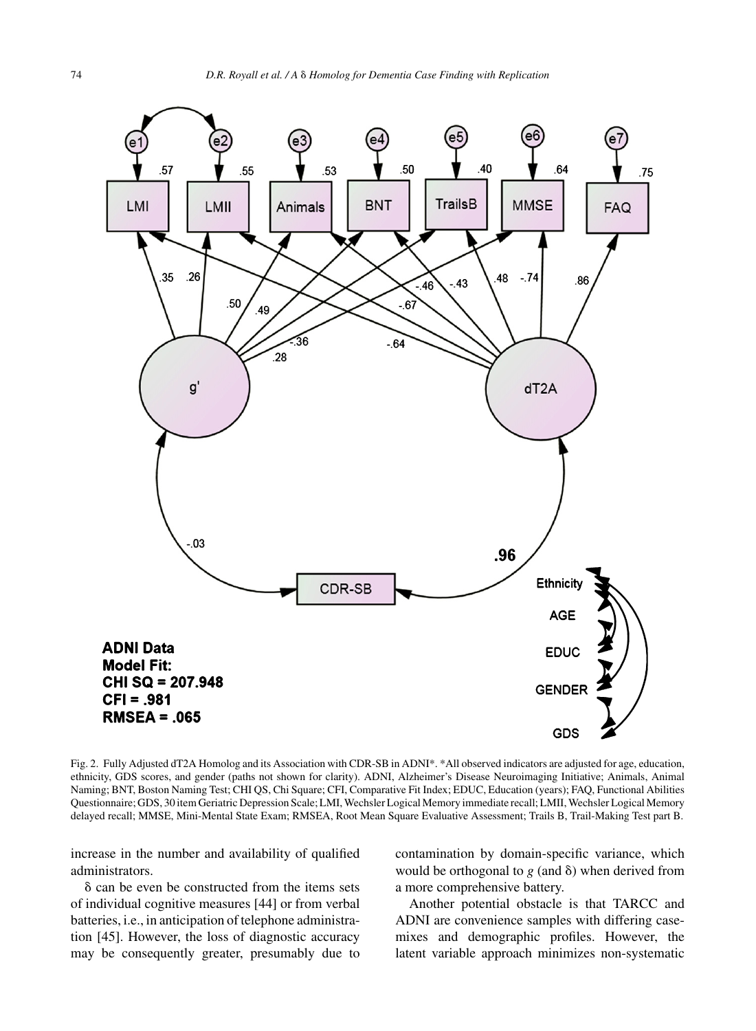

Fig. 2. Fully Adjusted dT2A Homolog and its Association with CDR-SB in ADNI\*. \*All observed indicators are adjusted for age, education, ethnicity, GDS scores, and gender (paths not shown for clarity). ADNI, Alzheimer's Disease Neuroimaging Initiative; Animals, Animal Naming; BNT, Boston Naming Test; CHI QS, Chi Square; CFI, Comparative Fit Index; EDUC, Education (years); FAQ, Functional Abilities Questionnaire; GDS, 30 item Geriatric Depression Scale; LMI, Wechsler Logical Memory immediate recall; LMII, Wechsler Logical Memory delayed recall; MMSE, Mini-Mental State Exam; RMSEA, Root Mean Square Evaluative Assessment; Trails B, Trail-Making Test part B.

increase in the number and availability of qualified administrators.

 $\delta$  can be even be constructed from the items sets of individual cognitive measures [44] or from verbal batteries, i.e., in anticipation of telephone administration [45]. However, the loss of diagnostic accuracy may be consequently greater, presumably due to contamination by domain-specific variance, which would be orthogonal to  $g$  (and  $\delta$ ) when derived from a more comprehensive battery.

Another potential obstacle is that TARCC and ADNI are convenience samples with differing casemixes and demographic profiles. However, the latent variable approach minimizes non-systematic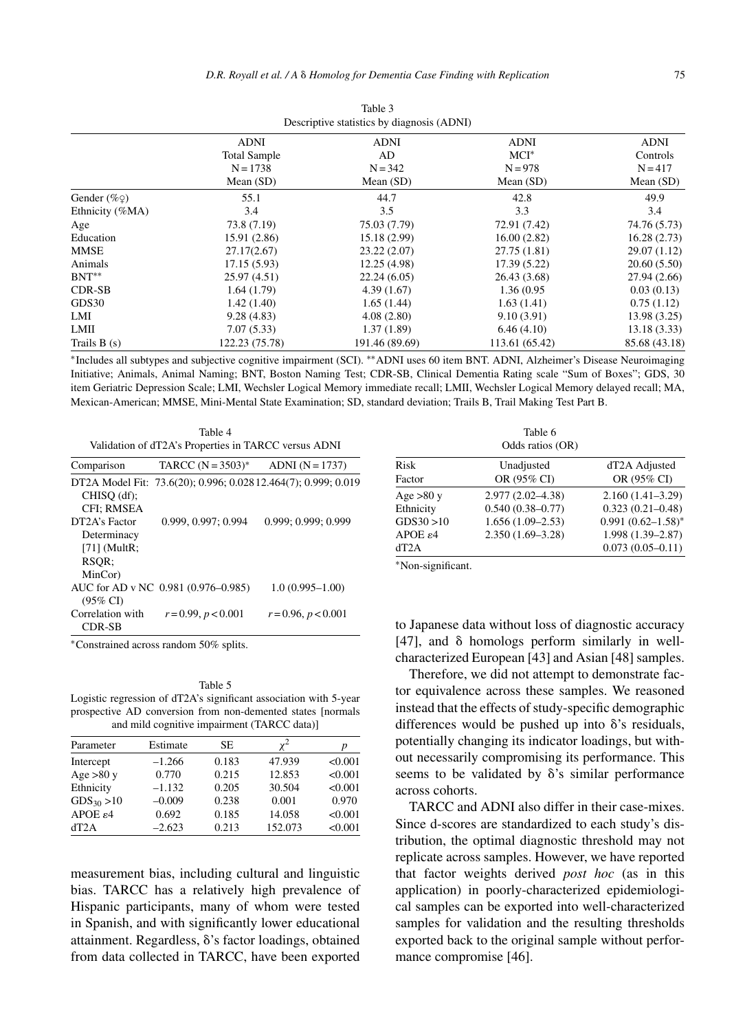|                       |                                                                 | Descriptive statistics by diagnosis (ADNI) |                                                    |                                                     |
|-----------------------|-----------------------------------------------------------------|--------------------------------------------|----------------------------------------------------|-----------------------------------------------------|
|                       | <b>ADNI</b><br><b>Total Sample</b><br>$N = 1738$<br>Mean $(SD)$ | ADNI<br>AD<br>$N = 342$<br>Mean $(SD)$     | <b>ADNI</b><br>$MCI^*$<br>$N = 978$<br>Mean $(SD)$ | <b>ADNI</b><br>Controls<br>$N = 417$<br>Mean $(SD)$ |
| Gender $(\% \varphi)$ | 55.1                                                            | 44.7                                       | 42.8                                               | 49.9                                                |
| Ethnicity (%MA)       | 3.4                                                             | 3.5                                        | 3.3                                                | 3.4                                                 |
| Age                   | 73.8 (7.19)                                                     | 75.03 (7.79)                               | 72.91 (7.42)                                       | 74.76 (5.73)                                        |
| Education             | 15.91 (2.86)                                                    | 15.18 (2.99)                               | 16.00(2.82)                                        | 16.28(2.73)                                         |
| MMSE                  | 27.17(2.67)                                                     | 23.22(2.07)                                | 27.75 (1.81)                                       | 29.07 (1.12)                                        |
| Animals               | 17.15(5.93)                                                     | 12.25 (4.98)                               | 17.39(5.22)                                        | 20.60(5.50)                                         |
| $BNT**$               | 25.97 (4.51)                                                    | 22.24(6.05)                                | 26.43 (3.68)                                       | 27.94 (2.66)                                        |
| CDR-SB                | 1.64(1.79)                                                      | 4.39(1.67)                                 | 1.36 (0.95)                                        | 0.03(0.13)                                          |
| GDS30                 | 1.42(1.40)                                                      | 1.65(1.44)                                 | 1.63(1.41)                                         | 0.75(1.12)                                          |
| LMI                   | 9.28(4.83)                                                      | 4.08(2.80)                                 | 9.10(3.91)                                         | 13.98(3.25)                                         |
| LMII                  | 7.07(5.33)                                                      | 1.37(1.89)                                 | 6.46(4.10)                                         | 13.18(3.33)                                         |
| Trails $B(s)$         | 122.23 (75.78)                                                  | 191.46 (89.69)                             | 113.61 (65.42)                                     | 85.68 (43.18)                                       |

Table 3

∗Includes all subtypes and subjective cognitive impairment (SCI). ∗∗ADNI uses 60 item BNT. ADNI, Alzheimer's Disease Neuroimaging Initiative; Animals, Animal Naming; BNT, Boston Naming Test; CDR-SB, Clinical Dementia Rating scale "Sum of Boxes"; GDS, 30 item Geriatric Depression Scale; LMI, Wechsler Logical Memory immediate recall; LMII, Wechsler Logical Memory delayed recall; MA, Mexican-American; MMSE, Mini-Mental State Examination; SD, standard deviation; Trails B, Trail Making Test Part B.

Table 4 Validation of dT2A's Properties in TARCC versus ADNI

| Comparison                 | TARCC $(N = 3503)^*$                | $ADNI (N = 1737)$                                              |
|----------------------------|-------------------------------------|----------------------------------------------------------------|
|                            |                                     | DT2A Model Fit: 73.6(20); 0.996; 0.028 12.464(7); 0.999; 0.019 |
| $CHISO$ (df);              |                                     |                                                                |
| <b>CFI: RMSEA</b>          |                                     |                                                                |
| DT <sub>2</sub> A's Factor | 0.999, 0.997; 0.994                 | 0.999: 0.999: 0.999                                            |
| Determinacy                |                                     |                                                                |
| $[71]$ (MultR;             |                                     |                                                                |
| RSOR:                      |                                     |                                                                |
| MinCor)                    |                                     |                                                                |
|                            | AUC for AD v NC 0.981 (0.976-0.985) | $1.0(0.995 - 1.00)$                                            |
| $(95\% \text{ CI})$        |                                     |                                                                |
| Correlation with           | $r = 0.99, p < 0.001$               | $r = 0.96, p < 0.001$                                          |
| CDR-SB                     |                                     |                                                                |

∗Constrained across random 50% splits.

Table 5 Logistic regression of dT2A's significant association with 5-year prospective AD conversion from non-demented states [normals and mild cognitive impairment (TARCC data)]

| Parameter            | Estimate | <b>SE</b> | $\mathbf{v}^2$ | p       |
|----------------------|----------|-----------|----------------|---------|
| Intercept            | $-1.266$ | 0.183     | 47.939         | < 0.001 |
| Age $>80$ y          | 0.770    | 0.215     | 12.853         | < 0.001 |
| Ethnicity            | $-1.132$ | 0.205     | 30.504         | < 0.001 |
| $GDS_{30} > 10$      | $-0.009$ | 0.238     | 0.001          | 0.970   |
| APOE $\varepsilon$ 4 | 0.692    | 0.185     | 14.058         | < 0.001 |
| dT2A                 | $-2.623$ | 0.213     | 152.073        | < 0.001 |

measurement bias, including cultural and linguistic bias. TARCC has a relatively high prevalence of Hispanic participants, many of whom were tested in Spanish, and with significantly lower educational attainment. Regardless,  $\delta$ 's factor loadings, obtained from data collected in TARCC, have been exported

| Table 6<br>Odds ratios (OR) |                           |                              |  |
|-----------------------------|---------------------------|------------------------------|--|
| Risk<br>Factor              | Unadjusted<br>OR (95% CI) | dT2A Adjusted<br>OR (95% CI) |  |
| Age $>80$ y                 | $2.977(2.02 - 4.38)$      | $2.160(1.41-3.29)$           |  |
| Ethnicity                   | $0.540(0.38 - 0.77)$      | $0.323(0.21 - 0.48)$         |  |
| GDS30 > 10                  | $1.656(1.09-2.53)$        | $0.991(0.62 - 1.58)^*$       |  |
| APOE $\varepsilon$ 4        | $2.350(1.69-3.28)$        | 1.998 (1.39-2.87)            |  |
| dT2A                        |                           | $0.073(0.05 - 0.11)$         |  |

∗Non-significant.

to Japanese data without loss of diagnostic accuracy  $[47]$ , and  $\delta$  homologs perform similarly in wellcharacterized European [43] and Asian [48] samples.

Therefore, we did not attempt to demonstrate factor equivalence across these samples. We reasoned instead that the effects of study-specific demographic differences would be pushed up into  $\delta$ 's residuals, potentially changing its indicator loadings, but without necessarily compromising its performance. This seems to be validated by  $\delta$ 's similar performance across cohorts.

TARCC and ADNI also differ in their case-mixes. Since d-scores are standardized to each study's distribution, the optimal diagnostic threshold may not replicate across samples. However, we have reported that factor weights derived *post hoc* (as in this application) in poorly-characterized epidemiological samples can be exported into well-characterized samples for validation and the resulting thresholds exported back to the original sample without performance compromise [46].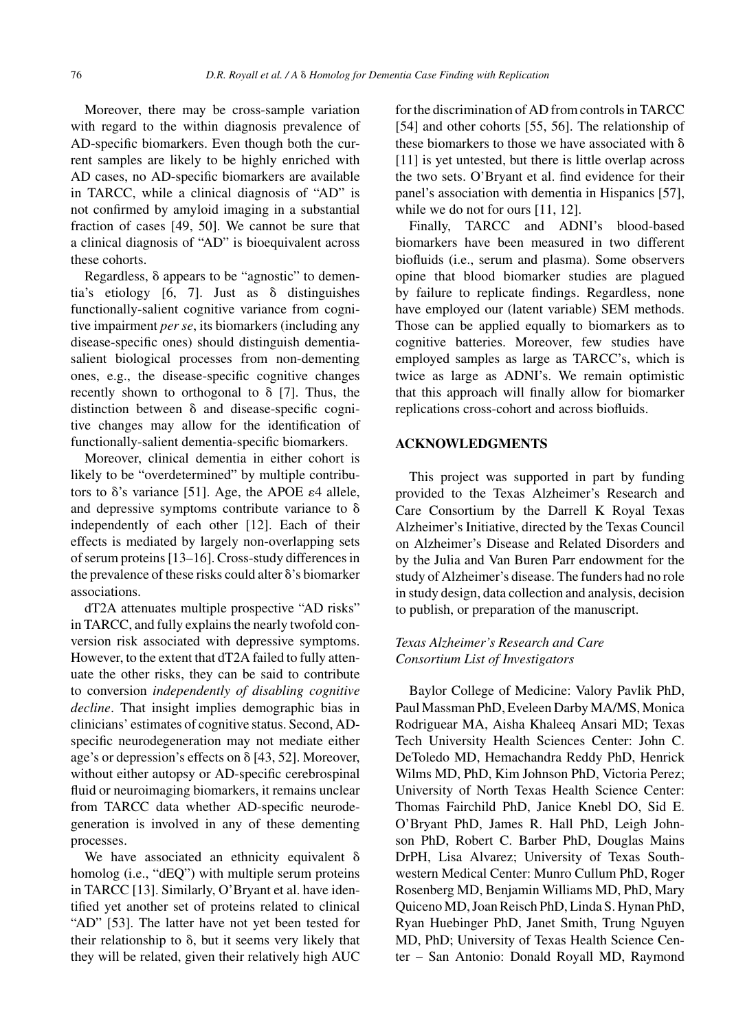Moreover, there may be cross-sample variation with regard to the within diagnosis prevalence of AD-specific biomarkers. Even though both the current samples are likely to be highly enriched with AD cases, no AD-specific biomarkers are available in TARCC, while a clinical diagnosis of "AD" is not confirmed by amyloid imaging in a substantial fraction of cases [49, 50]. We cannot be sure that a clinical diagnosis of "AD" is bioequivalent across these cohorts.

Regardless,  $\delta$  appears to be "agnostic" to dementia's etiology  $[6, 7]$ . Just as  $\delta$  distinguishes functionally-salient cognitive variance from cognitive impairment *per se*, its biomarkers (including any disease-specific ones) should distinguish dementiasalient biological processes from non-dementing ones, e.g., the disease-specific cognitive changes recently shown to orthogonal to  $\delta$  [7]. Thus, the distinction between  $\delta$  and disease-specific cognitive changes may allow for the identification of functionally-salient dementia-specific biomarkers.

Moreover, clinical dementia in either cohort is likely to be "overdetermined" by multiple contributors to  $\delta$ 's variance [51]. Age, the APOE  $\varepsilon$ 4 allele, and depressive symptoms contribute variance to  $\delta$ independently of each other [12]. Each of their effects is mediated by largely non-overlapping sets of serum proteins [13–16]. Cross-study differences in the prevalence of these risks could alter  $\delta$ 's biomarker associations.

dT2A attenuates multiple prospective "AD risks" in TARCC, and fully explains the nearly twofold conversion risk associated with depressive symptoms. However, to the extent that dT2A failed to fully attenuate the other risks, they can be said to contribute to conversion *independently of disabling cognitive decline*. That insight implies demographic bias in clinicians' estimates of cognitive status. Second, ADspecific neurodegeneration may not mediate either age's or depression's effects on  $\delta$  [43, 52]. Moreover, without either autopsy or AD-specific cerebrospinal fluid or neuroimaging biomarkers, it remains unclear from TARCC data whether AD-specific neurodegeneration is involved in any of these dementing processes.

We have associated an ethnicity equivalent  $\delta$ homolog (i.e., "dEQ") with multiple serum proteins in TARCC [13]. Similarly, O'Bryant et al. have identified yet another set of proteins related to clinical "AD" [53]. The latter have not yet been tested for their relationship to  $\delta$ , but it seems very likely that they will be related, given their relatively high AUC

for the discrimination of AD from controls in TARCC [54] and other cohorts [55, 56]. The relationship of these biomarkers to those we have associated with  $\delta$ [11] is yet untested, but there is little overlap across the two sets. O'Bryant et al. find evidence for their panel's association with dementia in Hispanics [57], while we do not for ours [11, 12].

Finally, TARCC and ADNI's blood-based biomarkers have been measured in two different biofluids (i.e., serum and plasma). Some observers opine that blood biomarker studies are plagued by failure to replicate findings. Regardless, none have employed our (latent variable) SEM methods. Those can be applied equally to biomarkers as to cognitive batteries. Moreover, few studies have employed samples as large as TARCC's, which is twice as large as ADNI's. We remain optimistic that this approach will finally allow for biomarker replications cross-cohort and across biofluids.

## **ACKNOWLEDGMENTS**

This project was supported in part by funding provided to the Texas Alzheimer's Research and Care Consortium by the Darrell K Royal Texas Alzheimer's Initiative, directed by the Texas Council on Alzheimer's Disease and Related Disorders and by the Julia and Van Buren Parr endowment for the study of Alzheimer's disease. The funders had no role in study design, data collection and analysis, decision to publish, or preparation of the manuscript.

## *Texas Alzheimer's Research and Care Consortium List of Investigators*

Baylor College of Medicine: Valory Pavlik PhD, Paul Massman PhD, Eveleen Darby MA/MS, Monica Rodriguear MA, Aisha Khaleeq Ansari MD; Texas Tech University Health Sciences Center: John C. DeToledo MD, Hemachandra Reddy PhD, Henrick Wilms MD, PhD, Kim Johnson PhD, Victoria Perez; University of North Texas Health Science Center: Thomas Fairchild PhD, Janice Knebl DO, Sid E. O'Bryant PhD, James R. Hall PhD, Leigh Johnson PhD, Robert C. Barber PhD, Douglas Mains DrPH, Lisa Alvarez; University of Texas Southwestern Medical Center: Munro Cullum PhD, Roger Rosenberg MD, Benjamin Williams MD, PhD, Mary Quiceno MD, Joan Reisch PhD, Linda S. Hynan PhD, Ryan Huebinger PhD, Janet Smith, Trung Nguyen MD, PhD; University of Texas Health Science Center – San Antonio: Donald Royall MD, Raymond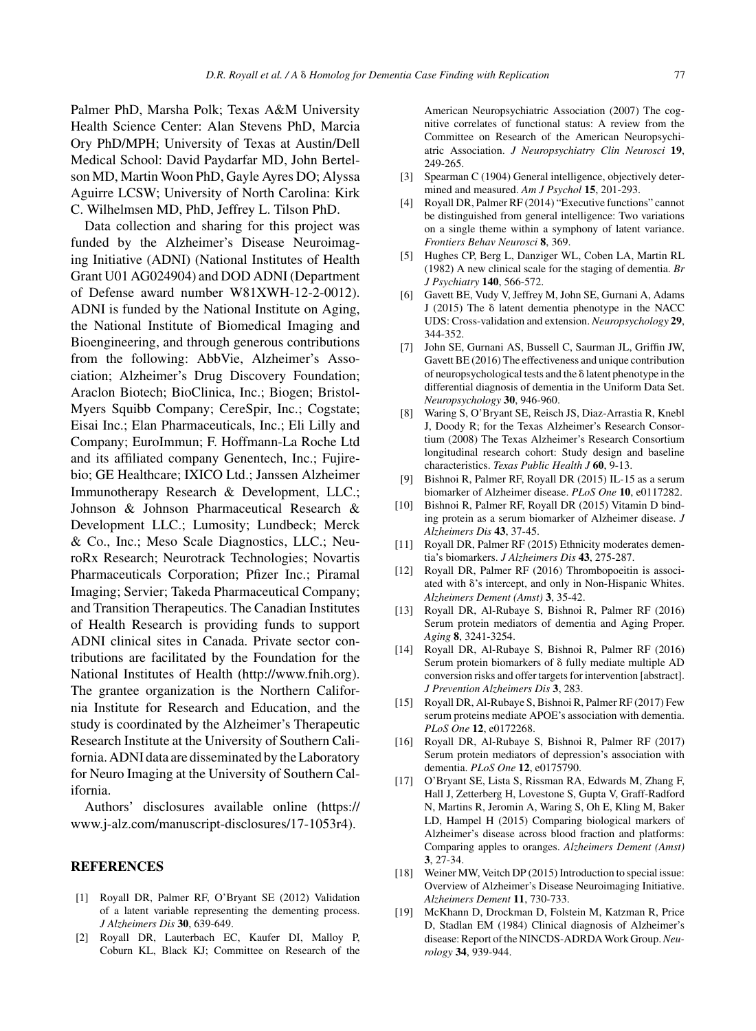Palmer PhD, Marsha Polk; Texas A&M University Health Science Center: Alan Stevens PhD, Marcia Ory PhD/MPH; University of Texas at Austin/Dell Medical School: David Paydarfar MD, John Bertelson MD, Martin Woon PhD, Gayle Ayres DO; Alyssa Aguirre LCSW; University of North Carolina: Kirk C. Wilhelmsen MD, PhD, Jeffrey L. Tilson PhD.

Data collection and sharing for this project was funded by the Alzheimer's Disease Neuroimaging Initiative (ADNI) (National Institutes of Health Grant U01 AG024904) and DOD ADNI (Department of Defense award number W81XWH-12-2-0012). ADNI is funded by the National Institute on Aging, the National Institute of Biomedical Imaging and Bioengineering, and through generous contributions from the following: AbbVie, Alzheimer's Association; Alzheimer's Drug Discovery Foundation; Araclon Biotech; BioClinica, Inc.; Biogen; Bristol-Myers Squibb Company; CereSpir, Inc.; Cogstate; Eisai Inc.; Elan Pharmaceuticals, Inc.; Eli Lilly and Company; EuroImmun; F. Hoffmann-La Roche Ltd and its affiliated company Genentech, Inc.; Fujirebio; GE Healthcare; IXICO Ltd.; Janssen Alzheimer Immunotherapy Research & Development, LLC.; Johnson & Johnson Pharmaceutical Research & Development LLC.; Lumosity; Lundbeck; Merck & Co., Inc.; Meso Scale Diagnostics, LLC.; NeuroRx Research; Neurotrack Technologies; Novartis Pharmaceuticals Corporation; Pfizer Inc.; Piramal Imaging; Servier; Takeda Pharmaceutical Company; and Transition Therapeutics. The Canadian Institutes of Health Research is providing funds to support ADNI clinical sites in Canada. Private sector contributions are facilitated by the Foundation for the National Institutes of Health ([http://www.fnih.org\)](http://www.fnih.org). The grantee organization is the Northern California Institute for Research and Education, and the study is coordinated by the Alzheimer's Therapeutic Research Institute at the University of Southern California. ADNI data are disseminated by the Laboratory for Neuro Imaging at the University of Southern California.

Authors' disclosures available online ([https://](https://www.j-alz.com/manuscript-disclosures/17-1053r4) [www.j-alz.com/manuscript-disclosures/17-1053r4\)](https://www.j-alz.com/manuscript-disclosures/17-1053r4).

## **REFERENCES**

- [1] Royall DR, Palmer RF, O'Bryant SE (2012) Validation of a latent variable representing the dementing process. *J Alzheimers Dis* **30**, 639-649.
- [2] Royall DR, Lauterbach EC, Kaufer DI, Malloy P, Coburn KL, Black KJ; Committee on Research of the

American Neuropsychiatric Association (2007) The cognitive correlates of functional status: A review from the Committee on Research of the American Neuropsychiatric Association. *J Neuropsychiatry Clin Neurosci* **19**, 249-265.

- [3] Spearman C (1904) General intelligence, objectively determined and measured. *Am J Psychol* **15**, 201-293.
- [4] Royall DR, Palmer RF (2014) "Executive functions" cannot be distinguished from general intelligence: Two variations on a single theme within a symphony of latent variance. *Frontiers Behav Neurosci* **8**, 369.
- [5] Hughes CP, Berg L, Danziger WL, Coben LA, Martin RL (1982) A new clinical scale for the staging of dementia. *Br J Psychiatry* **140**, 566-572.
- [6] Gavett BE, Vudy V, Jeffrey M, John SE, Gurnani A, Adams  $J(2015)$  The  $\delta$  latent dementia phenotype in the NACC UDS: Cross-validation and extension. *Neuropsychology* **29**, 344-352.
- [7] John SE, Gurnani AS, Bussell C, Saurman JL, Griffin JW, Gavett BE (2016) The effectiveness and unique contribution of neuropsychological tests and the  $\delta$  latent phenotype in the differential diagnosis of dementia in the Uniform Data Set. *Neuropsychology* **30**, 946-960.
- [8] Waring S, O'Bryant SE, Reisch JS, Diaz-Arrastia R, Knebl J, Doody R; for the Texas Alzheimer's Research Consortium (2008) The Texas Alzheimer's Research Consortium longitudinal research cohort: Study design and baseline characteristics. *Texas Public Health J* **60**, 9-13.
- [9] Bishnoi R, Palmer RF, Royall DR (2015) IL-15 as a serum biomarker of Alzheimer disease. *PLoS One* **10**, e0117282.
- [10] Bishnoi R, Palmer RF, Royall DR (2015) Vitamin D binding protein as a serum biomarker of Alzheimer disease. *J Alzheimers Dis* **43**, 37-45.
- [11] Royall DR, Palmer RF (2015) Ethnicity moderates dementia's biomarkers. *J Alzheimers Dis* **43**, 275-287.
- [12] Royall DR, Palmer RF (2016) Thrombopoeitin is associated with  $\delta$ 's intercept, and only in Non-Hispanic Whites. *Alzheimers Dement (Amst)* **3**, 35-42.
- [13] Royall DR, Al-Rubaye S, Bishnoi R, Palmer RF (2016) Serum protein mediators of dementia and Aging Proper. *Aging* **8**, 3241-3254.
- [14] Royall DR, Al-Rubaye S, Bishnoi R, Palmer RF (2016) Serum protein biomarkers of  $\delta$  fully mediate multiple AD conversion risks and offer targets for intervention [abstract]. *J Prevention Alzheimers Dis* **3**, 283.
- [15] Royall DR, Al-Rubaye S, Bishnoi R, Palmer RF (2017) Few serum proteins mediate APOE's association with dementia. *PLoS One* **12**, e0172268.
- [16] Royall DR, Al-Rubaye S, Bishnoi R, Palmer RF (2017) Serum protein mediators of depression's association with dementia. *PLoS One* **12**, e0175790.
- [17] O'Bryant SE, Lista S, Rissman RA, Edwards M, Zhang F, Hall J, Zetterberg H, Lovestone S, Gupta V, Graff-Radford N, Martins R, Jeromin A, Waring S, Oh E, Kling M, Baker LD, Hampel H (2015) Comparing biological markers of Alzheimer's disease across blood fraction and platforms: Comparing apples to oranges. *Alzheimers Dement (Amst)* **3**, 27-34.
- [18] Weiner MW, Veitch DP (2015) Introduction to special issue: Overview of Alzheimer's Disease Neuroimaging Initiative. *Alzheimers Dement* **11**, 730-733.
- [19] McKhann D, Drockman D, Folstein M, Katzman R, Price D, Stadlan EM (1984) Clinical diagnosis of Alzheimer's disease: Report of the NINCDS-ADRDA Work Group.*Neurology* **34**, 939-944.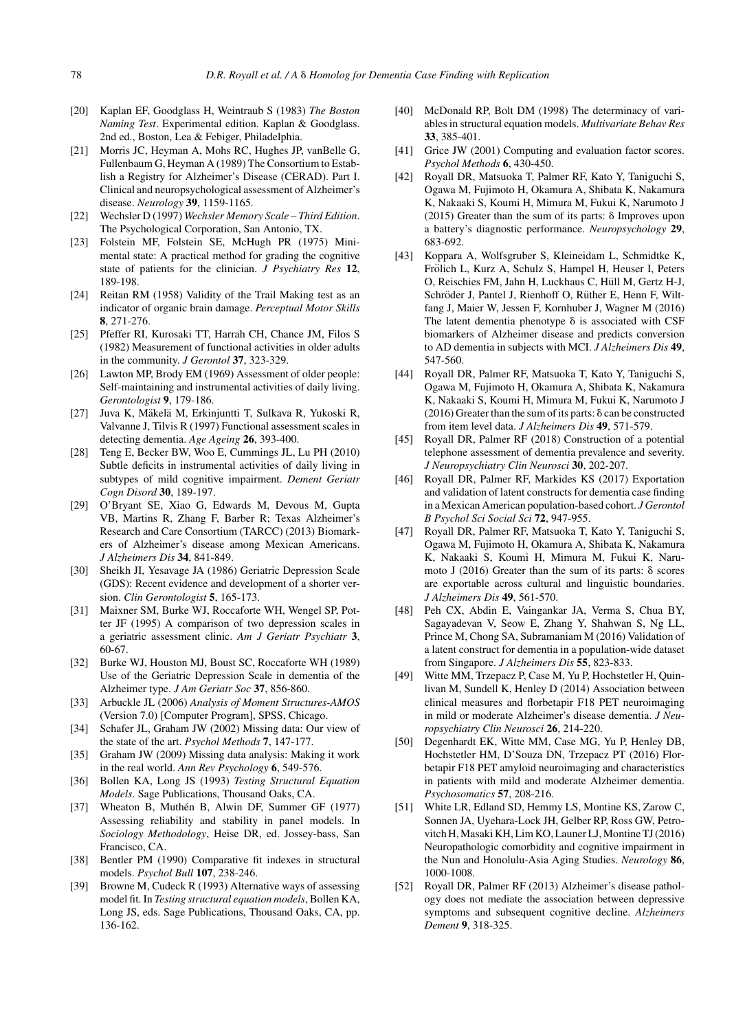- [20] Kaplan EF, Goodglass H, Weintraub S (1983) *The Boston Naming Test*. Experimental edition. Kaplan & Goodglass. 2nd ed., Boston, Lea & Febiger, Philadelphia.
- [21] Morris JC, Heyman A, Mohs RC, Hughes JP, vanBelle G, Fullenbaum G, Heyman A (1989) The Consortium to Establish a Registry for Alzheimer's Disease (CERAD). Part I. Clinical and neuropsychological assessment of Alzheimer's disease. *Neurology* **39**, 1159-1165.
- [22] Wechsler D (1997) *Wechsler Memory Scale Third Edition*. The Psychological Corporation, San Antonio, TX.
- [23] Folstein MF, Folstein SE, McHugh PR (1975) Minimental state: A practical method for grading the cognitive state of patients for the clinician. *J Psychiatry Res* **12**, 189-198.
- [24] Reitan RM (1958) Validity of the Trail Making test as an indicator of organic brain damage. *Perceptual Motor Skills* **8**, 271-276.
- [25] Pfeffer RI, Kurosaki TT, Harrah CH, Chance JM, Filos S (1982) Measurement of functional activities in older adults in the community. *J Gerontol* **37**, 323-329.
- [26] Lawton MP, Brody EM (1969) Assessment of older people: Self-maintaining and instrumental activities of daily living. *Gerontologist* **9**, 179-186.
- [27] Juva K, Mäkelä M, Erkinjuntti T, Sulkava R, Yukoski R, Valvanne J, Tilvis R (1997) Functional assessment scales in detecting dementia. *Age Ageing* **26**, 393-400.
- [28] Teng E, Becker BW, Woo E, Cummings JL, Lu PH (2010) Subtle deficits in instrumental activities of daily living in subtypes of mild cognitive impairment. *Dement Geriatr Cogn Disord* **30**, 189-197.
- [29] O'Bryant SE, Xiao G, Edwards M, Devous M, Gupta VB, Martins R, Zhang F, Barber R; Texas Alzheimer's Research and Care Consortium (TARCC) (2013) Biomarkers of Alzheimer's disease among Mexican Americans. *J Alzheimers Dis* **34**, 841-849.
- [30] Sheikh JI, Yesavage JA (1986) Geriatric Depression Scale (GDS): Recent evidence and development of a shorter version. *Clin Gerontologist* **5**, 165-173.
- [31] Maixner SM, Burke WJ, Roccaforte WH, Wengel SP, Potter JF (1995) A comparison of two depression scales in a geriatric assessment clinic. *Am J Geriatr Psychiatr* **3**, 60-67.
- [32] Burke WJ, Houston MJ, Boust SC, Roccaforte WH (1989) Use of the Geriatric Depression Scale in dementia of the Alzheimer type. *J Am Geriatr Soc* **37**, 856-860.
- [33] Arbuckle JL (2006) *Analysis of Moment Structures-AMOS* (Version 7.0) [Computer Program], SPSS, Chicago.
- [34] Schafer JL, Graham JW (2002) Missing data: Our view of the state of the art. *Psychol Methods* **7**, 147-177.
- [35] Graham JW (2009) Missing data analysis: Making it work in the real world. *Ann Rev Psychology* **6**, 549-576.
- [36] Bollen KA, Long JS (1993) *Testing Structural Equation Models*. Sage Publications, Thousand Oaks, CA.
- [37] Wheaton B, Muthén B, Alwin DF, Summer GF (1977) Assessing reliability and stability in panel models. In *Sociology Methodology*, Heise DR, ed. Jossey-bass, San Francisco, CA.
- [38] Bentler PM (1990) Comparative fit indexes in structural models. *Psychol Bull* **107**, 238-246.
- [39] Browne M, Cudeck R (1993) Alternative ways of assessing model fit. In *Testing structural equation models*, Bollen KA, Long JS, eds. Sage Publications, Thousand Oaks, CA, pp. 136-162.
- [40] McDonald RP, Bolt DM (1998) The determinacy of variables in structural equation models. *Multivariate Behav Res* **33**, 385-401.
- [41] Grice JW (2001) Computing and evaluation factor scores. *Psychol Methods* **6**, 430-450.
- [42] Royall DR, Matsuoka T, Palmer RF, Kato Y, Taniguchi S, Ogawa M, Fujimoto H, Okamura A, Shibata K, Nakamura K, Nakaaki S, Koumi H, Mimura M, Fukui K, Narumoto J  $(2015)$  Greater than the sum of its parts:  $\delta$  Improves upon a battery's diagnostic performance. *Neuropsychology* **29**, 683-692.
- [43] Koppara A, Wolfsgruber S, Kleineidam L, Schmidtke K, Frölich L, Kurz A, Schulz S, Hampel H, Heuser I, Peters O, Reischies FM, Jahn H, Luckhaus C, Hull M, Gertz H-J, ¨ Schröder J, Pantel J, Rienhoff O, Rüther E, Henn F, Wiltfang J, Maier W, Jessen F, Kornhuber J, Wagner M (2016) The latent dementia phenotype  $\delta$  is associated with CSF biomarkers of Alzheimer disease and predicts conversion to AD dementia in subjects with MCI. *J Alzheimers Dis* **49**, 547-560.
- [44] Royall DR, Palmer RF, Matsuoka T, Kato Y, Taniguchi S, Ogawa M, Fujimoto H, Okamura A, Shibata K, Nakamura K, Nakaaki S, Koumi H, Mimura M, Fukui K, Narumoto J  $(2016)$  Greater than the sum of its parts:  $\delta$  can be constructed from item level data. *J Alzheimers Dis* **49**, 571-579.
- [45] Royall DR, Palmer RF (2018) Construction of a potential telephone assessment of dementia prevalence and severity. *J Neuropsychiatry Clin Neurosci* **30**, 202-207.
- [46] Royall DR, Palmer RF, Markides KS (2017) Exportation and validation of latent constructs for dementia case finding in a Mexican American population-based cohort. *J Gerontol B Psychol Sci Social Sci* **72**, 947-955.
- [47] Royall DR, Palmer RF, Matsuoka T, Kato Y, Taniguchi S, Ogawa M, Fujimoto H, Okamura A, Shibata K, Nakamura K, Nakaaki S, Koumi H, Mimura M, Fukui K, Narumoto J (2016) Greater than the sum of its parts:  $\delta$  scores are exportable across cultural and linguistic boundaries. *J Alzheimers Dis* **49**, 561-570.
- [48] Peh CX, Abdin E, Vaingankar JA, Verma S, Chua BY, Sagayadevan V, Seow E, Zhang Y, Shahwan S, Ng LL, Prince M, Chong SA, Subramaniam M (2016) Validation of a latent construct for dementia in a population-wide dataset from Singapore. *J Alzheimers Dis* **55**, 823-833.
- [49] Witte MM, Trzepacz P, Case M, Yu P, Hochstetler H, Quinlivan M, Sundell K, Henley D (2014) Association between clinical measures and florbetapir F18 PET neuroimaging in mild or moderate Alzheimer's disease dementia. *J Neuropsychiatry Clin Neurosci* **26**, 214-220.
- [50] Degenhardt EK, Witte MM, Case MG, Yu P, Henley DB, Hochstetler HM, D'Souza DN, Trzepacz PT (2016) Florbetapir F18 PET amyloid neuroimaging and characteristics in patients with mild and moderate Alzheimer dementia. *Psychosomatics* **57**, 208-216.
- [51] White LR, Edland SD, Hemmy LS, Montine KS, Zarow C, Sonnen JA, Uyehara-Lock JH, Gelber RP, Ross GW, Petrovitch H, Masaki KH, Lim KO, Launer LJ, Montine TJ (2016) Neuropathologic comorbidity and cognitive impairment in the Nun and Honolulu-Asia Aging Studies. *Neurology* **86**, 1000-1008.
- [52] Royall DR, Palmer RF (2013) Alzheimer's disease pathology does not mediate the association between depressive symptoms and subsequent cognitive decline. *Alzheimers Dement* **9**, 318-325.